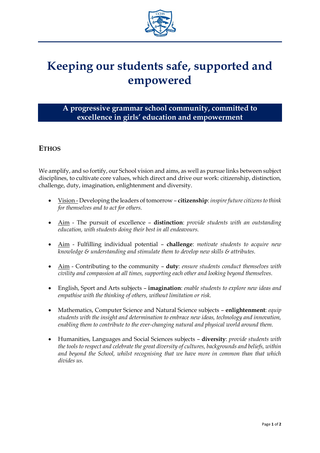

## **Keeping our students safe, supported and empowered**

## **A progressive grammar school community, committed to excellence in girls' education and empowerment**

## **ETHOS**

We amplify, and so fortify, our School vision and aims, as well as pursue links between subject disciplines, to cultivate core values, which direct and drive our work: citizenship, distinction, challenge, duty, imagination, enlightenment and diversity.

- Vision Developing the leaders of tomorrow **citizenship**: *inspire future citizens to think for themselves and to act for others.*
- Aim The pursuit of excellence **distinction**: *provide students with an outstanding education, with students doing their best in all endeavours.*
- Aim Fulfilling individual potential **challenge**: *motivate students to acquire new knowledge & understanding and stimulate them to develop new skills & attributes.*
- Aim Contributing to the community **duty**: *ensure students conduct themselves with civility and compassion at all times, supporting each other and looking beyond themselves.*
- English, Sport and Arts subjects **imagination**: *enable students to explore new ideas and empathise with the thinking of others, without limitation or risk.*
- Mathematics, Computer Science and Natural Science subjects **enlightenment**: *equip students with the insight and determination to embrace new ideas, technology and innovation, enabling them to contribute to the ever-changing natural and physical world around them.*
- Humanities, Languages and Social Sciences subjects **diversity**: *provide students with the tools to respect and celebrate the great diversity of cultures, backgrounds and beliefs, within and beyond the School, whilst recognising that we have more in common than that which divides us.*